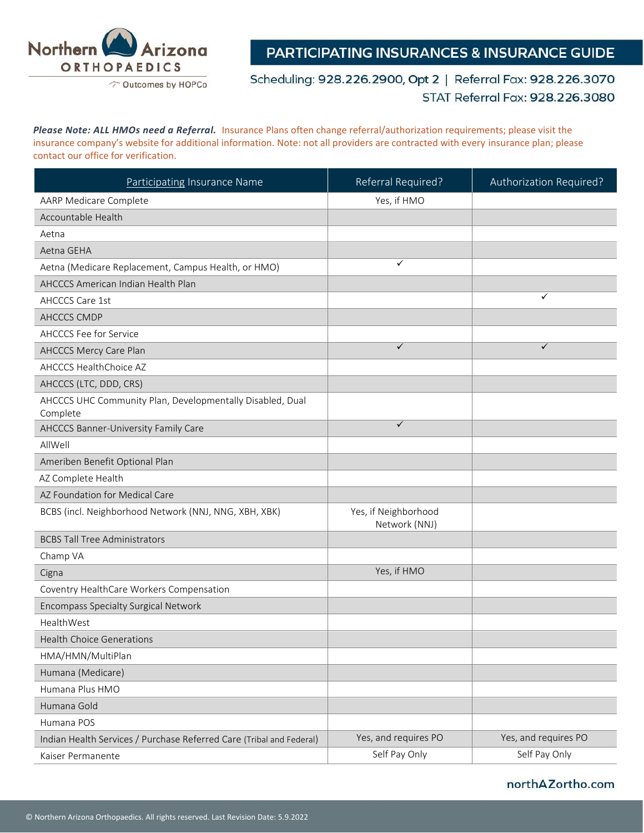

**PARTICIPATING INSURANCES & INSURANCE GUIDE** 

Scheduling: 928.226.2900, Opt 2 | Referral Fax: 928.226.3070 STAT Referral Fax: 928.226.3080

*Please Note: ALL HMOs need a Referral.* Insurance Plans often change referral/authorization requirements; please visit the insurance company's website for additional information. Note: not all providers are contracted with every insurance plan; please contact our office for verification.

| Participating Insurance Name                                          | Referral Required?                    | Authorization Required? |
|-----------------------------------------------------------------------|---------------------------------------|-------------------------|
| AARP Medicare Complete                                                | Yes, if HMO                           |                         |
| Accountable Health                                                    |                                       |                         |
| Aetna                                                                 |                                       |                         |
| Aetna GEHA                                                            |                                       |                         |
| Aetna (Medicare Replacement, Campus Health, or HMO)                   | ✓                                     |                         |
| AHCCCS American Indian Health Plan                                    |                                       |                         |
| <b>AHCCCS Care 1st</b>                                                |                                       | ✓                       |
| AHCCCS CMDP                                                           |                                       |                         |
| AHCCCS Fee for Service                                                |                                       |                         |
| AHCCCS Mercy Care Plan                                                | $\checkmark$                          | $\checkmark$            |
| AHCCCS HealthChoice AZ                                                |                                       |                         |
| AHCCCS (LTC, DDD, CRS)                                                |                                       |                         |
| AHCCCS UHC Community Plan, Developmentally Disabled, Dual<br>Complete |                                       |                         |
| AHCCCS Banner-University Family Care                                  | $\checkmark$                          |                         |
| AllWell                                                               |                                       |                         |
| Ameriben Benefit Optional Plan                                        |                                       |                         |
| AZ Complete Health                                                    |                                       |                         |
| AZ Foundation for Medical Care                                        |                                       |                         |
| BCBS (incl. Neighborhood Network (NNJ, NNG, XBH, XBK)                 | Yes, if Neighborhood<br>Network (NNJ) |                         |
| <b>BCBS Tall Tree Administrators</b>                                  |                                       |                         |
| Champ VA                                                              |                                       |                         |
| Cigna                                                                 | Yes, if HMO                           |                         |
| Coventry HealthCare Workers Compensation                              |                                       |                         |
| Encompass Specialty Surgical Network                                  |                                       |                         |
| HealthWest                                                            |                                       |                         |
| <b>Health Choice Generations</b>                                      |                                       |                         |
| HMA/HMN/MultiPlan                                                     |                                       |                         |
| Humana (Medicare)                                                     |                                       |                         |
| Humana Plus HMO                                                       |                                       |                         |
| Humana Gold                                                           |                                       |                         |
| Humana POS                                                            |                                       |                         |
| Indian Health Services / Purchase Referred Care (Tribal and Federal)  | Yes, and requires PO                  | Yes, and requires PO    |
| Kaiser Permanente                                                     | Self Pay Only                         | Self Pay Only           |

## northAZortho.com